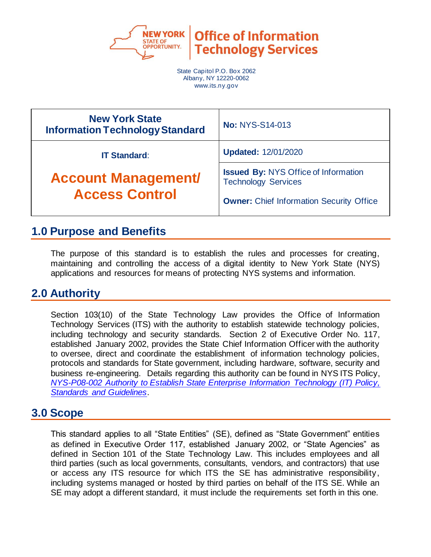

**Office of Information Technology Services** 

State Capitol P.O. Box 2062 Albany, NY 12220-0062 www.its.ny.gov

| <b>New York State</b><br><b>Information Technology Standard</b> | <b>No: NYS-S14-013</b>                                                                                                       |  |
|-----------------------------------------------------------------|------------------------------------------------------------------------------------------------------------------------------|--|
| <b>IT Standard:</b>                                             | <b>Updated: 12/01/2020</b>                                                                                                   |  |
| <b>Account Management/</b><br><b>Access Control</b>             | <b>Issued By: NYS Office of Information</b><br><b>Technology Services</b><br><b>Owner:</b> Chief Information Security Office |  |

## **1.0 Purpose and Benefits**

The purpose of this standard is to establish the rules and processes for creating, maintaining and controlling the access of a digital identity to New York State (NYS) applications and resources for means of protecting NYS systems and information.

## **2.0 Authority**

Section 103(10) of the State Technology Law provides the Office of Information Technology Services (ITS) with the authority to establish statewide technology policies, including technology and security standards. Section 2 of Executive Order No. 117, established January 2002, provides the State Chief Information Officer with the authority to oversee, direct and coordinate the establishment of information technology policies, protocols and standards for State government, including hardware, software, security and business re-engineering. Details regarding this authority can be found in NYS ITS Policy, *[NYS-P08-002 Authority to Establish State Enterprise Information Technology \(IT\) Policy,](https://its.ny.gov/document/authority-establish-state-enterprise-information-technology-it-policy-standards-and-guidelines)  [Standards and Guidelines](https://its.ny.gov/document/authority-establish-state-enterprise-information-technology-it-policy-standards-and-guidelines)*.

## **3.0 Scope**

This standard applies to all "State Entities" (SE), defined as "State Government" entities as defined in Executive Order 117, established January 2002, or "State Agencies" as defined in Section 101 of the State Technology Law. This includes employees and all third parties (such as local governments, consultants, vendors, and contractors) that use or access any ITS resource for which ITS the SE has administrative responsibility, including systems managed or hosted by third parties on behalf of the ITS SE. While an SE may adopt a different standard, it must include the requirements set forth in this one.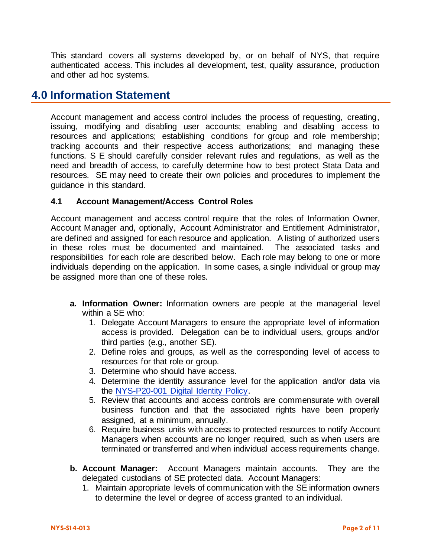This standard covers all systems developed by, or on behalf of NYS, that require authenticated access. This includes all development, test, quality assurance, production and other ad hoc systems.

### **4.0 Information Statement**

Account management and access control includes the process of requesting, creating, issuing, modifying and disabling user accounts; enabling and disabling access to resources and applications; establishing conditions for group and role membership; tracking accounts and their respective access authorizations; and managing these functions. S E should carefully consider relevant rules and regulations, as well as the need and breadth of access, to carefully determine how to best protect Stata Data and resources. SE may need to create their own policies and procedures to implement the guidance in this standard.

### **4.1 Account Management/Access Control Roles**

Account management and access control require that the roles of Information Owner, Account Manager and, optionally, Account Administrator and Entitlement Administrator, are defined and assigned for each resource and application. A listing of authorized users in these roles must be documented and maintained. The associated tasks and responsibilities for each role are described below. Each role may belong to one or more individuals depending on the application. In some cases, a single individual or group may be assigned more than one of these roles.

- **a. Information Owner:** Information owners are people at the managerial level within a SE who:
	- 1. Delegate Account Managers to ensure the appropriate level of information access is provided. Delegation can be to individual users, groups and/or third parties (e.g., another SE).
	- 2. Define roles and groups, as well as the corresponding level of access to resources for that role or group.
	- 3. Determine who should have access.
	- 4. Determine the identity assurance level for the application and/or data via the NYS-P20-001 [Digital Identity Policy.](https://its.ny.gov/document/digital-identity-policy)
	- 5. Review that accounts and access controls are commensurate with overall business function and that the associated rights have been properly assigned, at a minimum, annually.
	- 6. Require business units with access to protected resources to notify Account Managers when accounts are no longer required, such as when users are terminated or transferred and when individual access requirements change.
- **b. Account Manager:** Account Managers maintain accounts. They are the delegated custodians of SE protected data. Account Managers:
	- 1. Maintain appropriate levels of communication with the SE information owners to determine the level or degree of access granted to an individual.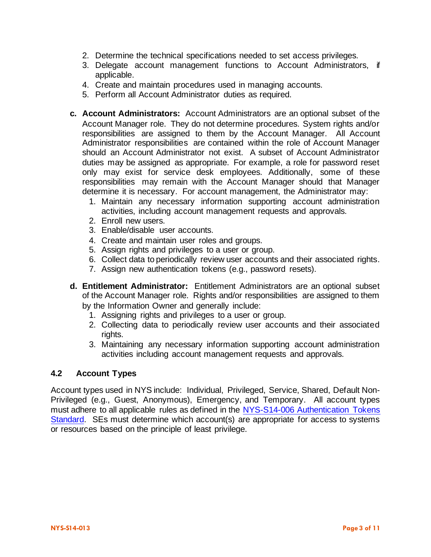- 2. Determine the technical specifications needed to set access privileges.
- 3. Delegate account management functions to Account Administrators, if applicable.
- 4. Create and maintain procedures used in managing accounts.
- 5. Perform all Account Administrator duties as required.
- **c. Account Administrators:** Account Administrators are an optional subset of the Account Manager role. They do not determine procedures. System rights and/or responsibilities are assigned to them by the Account Manager. All Account Administrator responsibilities are contained within the role of Account Manager should an Account Administrator not exist. A subset of Account Administrator duties may be assigned as appropriate. For example, a role for password reset only may exist for service desk employees. Additionally, some of these responsibilities may remain with the Account Manager should that Manager determine it is necessary. For account management, the Administrator may:
	- 1. Maintain any necessary information supporting account administration activities, including account management requests and approvals.
	- 2. Enroll new users.
	- 3. Enable/disable user accounts.
	- 4. Create and maintain user roles and groups.
	- 5. Assign rights and privileges to a user or group.
	- 6. Collect data to periodically review user accounts and their associated rights.
	- 7. Assign new authentication tokens (e.g., password resets).
- **d. Entitlement Administrator:** Entitlement Administrators are an optional subset of the Account Manager role. Rights and/or responsibilities are assigned to them by the Information Owner and generally include:
	- 1. Assigning rights and privileges to a user or group.
	- 2. Collecting data to periodically review user accounts and their associated rights.
	- 3. Maintaining any necessary information supporting account administration activities including account management requests and approvals.

#### **4.2 Account Types**

Account types used in NYS include: Individual, Privileged, Service, Shared, Default Non-Privileged (e.g., Guest, Anonymous), Emergency, and Temporary. All account types must adhere to all applicable rules as defined in the NYS-S14-006 [Authentication Tokens](https://its.ny.gov/document/authentication-tokens-standard)  [Standard.](https://its.ny.gov/document/authentication-tokens-standard) SEs must determine which account(s) are appropriate for access to systems or resources based on the principle of least privilege.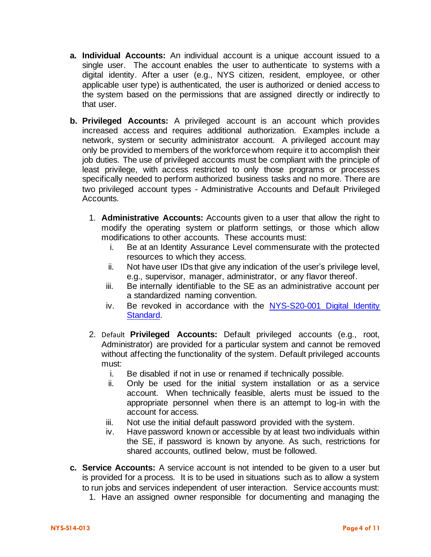- **a. Individual Accounts:** An individual account is a unique account issued to a single user. The account enables the user to authenticate to systems with a digital identity. After a user (e.g., NYS citizen, resident, employee, or other applicable user type) is authenticated, the user is authorized or denied access to the system based on the permissions that are assigned directly or indirectly to that user.
- **b. Privileged Accounts:** A privileged account is an account which provides increased access and requires additional authorization. Examples include a network, system or security administrator account. A privileged account may only be provided to members of the workforce whom require it to accomplish their job duties. The use of privileged accounts must be compliant with the principle of least privilege, with access restricted to only those programs or processes specifically needed to perform authorized business tasks and no more. There are two privileged account types - Administrative Accounts and Default Privileged Accounts.
	- 1. **Administrative Accounts:** Accounts given to a user that allow the right to modify the operating system or platform settings, or those which allow modifications to other accounts. These accounts must:
		- i. Be at an Identity Assurance Level commensurate with the protected resources to which they access.
		- ii. Not have user IDs that give any indication of the user's privilege level, e.g., supervisor, manager, administrator, or any flavor thereof.
		- iii. Be internally identifiable to the SE as an administrative account per a standardized naming convention.
		- iv. Be revoked in accordance with the NYS-S20-001 [Digital Identity](https://its.ny.gov/document/digital-identity-standard)  [Standard.](https://its.ny.gov/document/digital-identity-standard)
	- 2. Default **Privileged Accounts:** Default privileged accounts (e.g., root, Administrator) are provided for a particular system and cannot be removed without affecting the functionality of the system. Default privileged accounts must:
		- i. Be disabled if not in use or renamed if technically possible.
		- ii. Only be used for the initial system installation or as a service account. When technically feasible, alerts must be issued to the appropriate personnel when there is an attempt to log-in with the account for access.
		- iii. Not use the initial default password provided with the system.
		- iv. Have password known or accessible by at least two individuals within the SE, if password is known by anyone. As such, restrictions for shared accounts, outlined below, must be followed.
- **c. Service Accounts:** A service account is not intended to be given to a user but is provided for a process. It is to be used in situations such as to allow a system to run jobs and services independent of user interaction. Service accounts must:
	- 1. Have an assigned owner responsible for documenting and managing the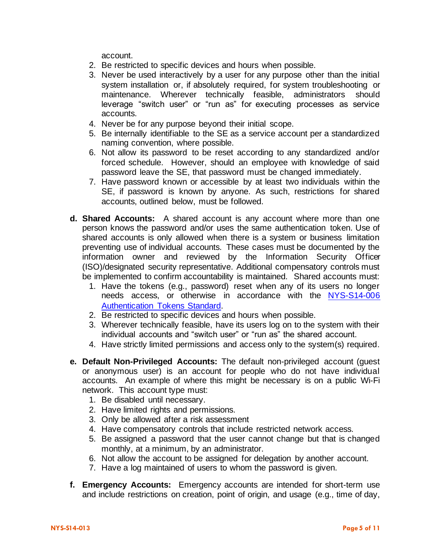account.

- 2. Be restricted to specific devices and hours when possible.
- 3. Never be used interactively by a user for any purpose other than the initial system installation or, if absolutely required, for system troubleshooting or maintenance. Wherever technically feasible, administrators should leverage "switch user" or "run as" for executing processes as service accounts.
- 4. Never be for any purpose beyond their initial scope.
- 5. Be internally identifiable to the SE as a service account per a standardized naming convention, where possible.
- 6. Not allow its password to be reset according to any standardized and/or forced schedule. However, should an employee with knowledge of said password leave the SE, that password must be changed immediately.
- 7. Have password known or accessible by at least two individuals within the SE, if password is known by anyone. As such, restrictions for shared accounts, outlined below, must be followed.
- **d. Shared Accounts:** A shared account is any account where more than one person knows the password and/or uses the same authentication token. Use of shared accounts is only allowed when there is a system or business limitation preventing use of individual accounts. These cases must be documented by the information owner and reviewed by the Information Security Officer (ISO)/designated security representative. Additional compensatory controls must be implemented to confirm accountability is maintained. Shared accounts must:
	- 1. Have the tokens (e.g., password) reset when any of its users no longer needs access, or otherwise in accordance with the [NYS-S14-006](https://its.ny.gov/document/authentication-tokens-standard) [Authentication Tokens Standard.](https://its.ny.gov/document/authentication-tokens-standard)
	- 2. Be restricted to specific devices and hours when possible.
	- 3. Wherever technically feasible, have its users log on to the system with their individual accounts and "switch user" or "run as" the shared account.
	- 4. Have strictly limited permissions and access only to the system(s) required.
- **e. Default Non-Privileged Accounts:** The default non-privileged account (guest or anonymous user) is an account for people who do not have individual accounts. An example of where this might be necessary is on a public Wi-Fi network. This account type must:
	- 1. Be disabled until necessary.
	- 2. Have limited rights and permissions.
	- 3. Only be allowed after a risk assessment
	- 4. Have compensatory controls that include restricted network access.
	- 5. Be assigned a password that the user cannot change but that is changed monthly, at a minimum, by an administrator.
	- 6. Not allow the account to be assigned for delegation by another account.
	- 7. Have a log maintained of users to whom the password is given.
- **f. Emergency Accounts:** Emergency accounts are intended for short-term use and include restrictions on creation, point of origin, and usage (e.g., time of day,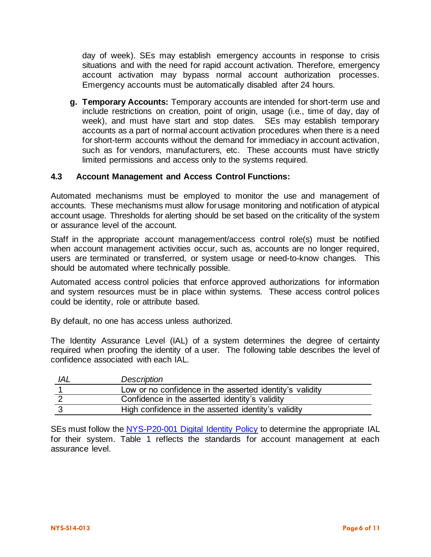day of week). SEs may establish emergency accounts in response to crisis situations and with the need for rapid account activation. Therefore, emergency account activation may bypass normal account authorization processes. Emergency accounts must be automatically disabled after 24 hours.

**g. Temporary Accounts:** Temporary accounts are intended for short-term use and include restrictions on creation, point of origin, usage (i.e., time of day, day of week), and must have start and stop dates. SEs may establish temporary accounts as a part of normal account activation procedures when there is a need for short-term accounts without the demand for immediacy in account activation, such as for vendors, manufacturers, etc. These accounts must have strictly limited permissions and access only to the systems required.

#### **4.3 Account Management and Access Control Functions:**

Automated mechanisms must be employed to monitor the use and management of accounts. These mechanisms must allow for usage monitoring and notification of atypical account usage. Thresholds for alerting should be set based on the criticality of the system or assurance level of the account.

Staff in the appropriate account management/access control role(s) must be notified when account management activities occur, such as, accounts are no longer required, users are terminated or transferred, or system usage or need-to-know changes. This should be automated where technically possible.

Automated access control policies that enforce approved authorizations for information and system resources must be in place within systems. These access control polices could be identity, role or attribute based.

By default, no one has access unless authorized.

The Identity Assurance Level (IAL) of a system determines the degree of certainty required when proofing the identity of a user. The following table describes the level of confidence associated with each IAL.

| IAL | <b>Description</b>                                       |
|-----|----------------------------------------------------------|
|     | Low or no confidence in the asserted identity's validity |
|     | Confidence in the asserted identity's validity           |
|     | High confidence in the asserted identity's validity      |

SEs must follow the NYS-P20-001 [Digital Identity Policy](https://its.ny.gov/document/digital-identity-policy) to determine the appropriate IAL for their system. Table 1 reflects the standards for account management at each assurance level.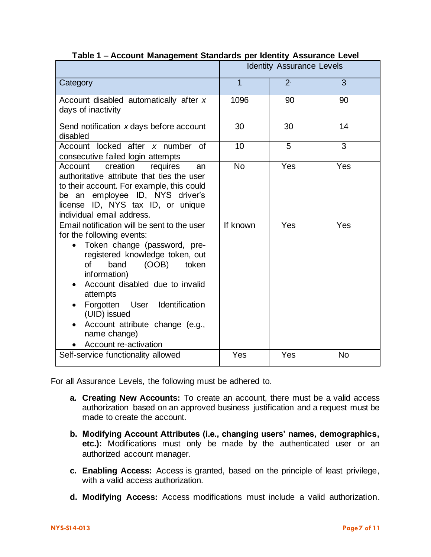|                                                                                                                                                                                                                                                                                                                                                                                      | Abbount management blandardo per identity Abbarance Ecter<br><b>Identity Assurance Levels</b> |                 |                 |
|--------------------------------------------------------------------------------------------------------------------------------------------------------------------------------------------------------------------------------------------------------------------------------------------------------------------------------------------------------------------------------------|-----------------------------------------------------------------------------------------------|-----------------|-----------------|
| Category                                                                                                                                                                                                                                                                                                                                                                             | $\overline{1}$                                                                                | 2 <sup>1</sup>  | 3               |
| Account disabled automatically after x<br>days of inactivity                                                                                                                                                                                                                                                                                                                         | 1096                                                                                          | 90              | 90              |
| Send notification x days before account<br>disabled                                                                                                                                                                                                                                                                                                                                  | $\overline{30}$                                                                               | $\overline{30}$ | $\overline{14}$ |
| Account locked after x number of<br>consecutive failed login attempts                                                                                                                                                                                                                                                                                                                | $\overline{10}$                                                                               | $\overline{5}$  | $\overline{3}$  |
| Account<br>creation<br>requires<br>an<br>authoritative attribute that ties the user<br>to their account. For example, this could<br>be an employee ID, NYS driver's<br>license ID, NYS tax ID, or unique<br>individual email address.                                                                                                                                                | <b>No</b>                                                                                     | Yes             | Yes             |
| Email notification will be sent to the user<br>for the following events:<br>Token change (password, pre-<br>$\bullet$<br>registered knowledge token, out<br>of<br>band<br>(OOB)<br>token<br>information)<br>Account disabled due to invalid<br>attempts<br>Forgotten User Identification<br>(UID) issued<br>Account attribute change (e.g.,<br>name change)<br>Account re-activation | If known                                                                                      | Yes             | Yes             |
| Self-service functionality allowed                                                                                                                                                                                                                                                                                                                                                   | Yes                                                                                           | Yes             | <b>No</b>       |

**Table 1 – Account Management Standards per Identity Assurance Level**

For all Assurance Levels, the following must be adhered to.

- **a. Creating New Accounts:** To create an account, there must be a valid access authorization based on an approved business justification and a request must be made to create the account.
- **b. Modifying Account Attributes (i.e., changing users' names, demographics, etc.):** Modifications must only be made by the authenticated user or an authorized account manager.
- **c. Enabling Access:** Access is granted, based on the principle of least privilege, with a valid access authorization.
- **d. Modifying Access:** Access modifications must include a valid authorization.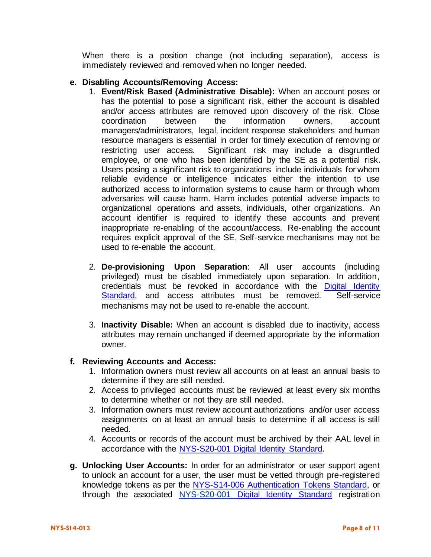When there is a position change (not including separation), access is immediately reviewed and removed when no longer needed.

#### **e. Disabling Accounts/Removing Access:**

- 1. **Event/Risk Based (Administrative Disable):** When an account poses or has the potential to pose a significant risk, either the account is disabled and/or access attributes are removed upon discovery of the risk. Close coordination between the information owners, account managers/administrators, legal, incident response stakeholders and human resource managers is essential in order for timely execution of removing or restricting user access. Significant risk may include a disgruntled employee, or one who has been identified by the SE as a potential risk. Users posing a significant risk to organizations include individuals for whom reliable evidence or intelligence indicates either the intention to use authorized access to information systems to cause harm or through whom adversaries will cause harm. Harm includes potential adverse impacts to organizational operations and assets, individuals, other organizations. An account identifier is required to identify these accounts and prevent inappropriate re-enabling of the account/access. Re-enabling the account requires explicit approval of the SE, Self-service mechanisms may not be used to re-enable the account.
- 2. **De-provisioning Upon Separation**: All user accounts (including privileged) must be disabled immediately upon separation. In addition, credentials must be revoked in accordance with the Digital Identity [Standard,](https://its.ny.gov/document/digital-identity-standard) and access attributes must be removed. Self-service mechanisms may not be used to re-enable the account.
- 3. **Inactivity Disable:** When an account is disabled due to inactivity, access attributes may remain unchanged if deemed appropriate by the information owner.

#### **f. Reviewing Accounts and Access:**

- 1. Information owners must review all accounts on at least an annual basis to determine if they are still needed.
- 2. Access to privileged accounts must be reviewed at least every six months to determine whether or not they are still needed.
- 3. Information owners must review account authorizations and/or user access assignments on at least an annual basis to determine if all access is still needed.
- 4. Accounts or records of the account must be archived by their AAL level in accordance with the [NYS-S20-001 Digital Identity Standard.](https://its.ny.gov/document/digital-identity-standard)
- **g. Unlocking User Accounts:** In order for an administrator or user support agent to unlock an account for a user, the user must be vetted through pre-registered knowledge tokens as per the [NYS-S14-006](https://its.ny.gov/document/authentication-tokens) [Authentication Tokens Standard,](https://its.ny.gov/document/authentication-tokens) or through the associated NYS-S20-001 [Digital Identity Standard](https://its.ny.gov/document/digital-identity-standard) registration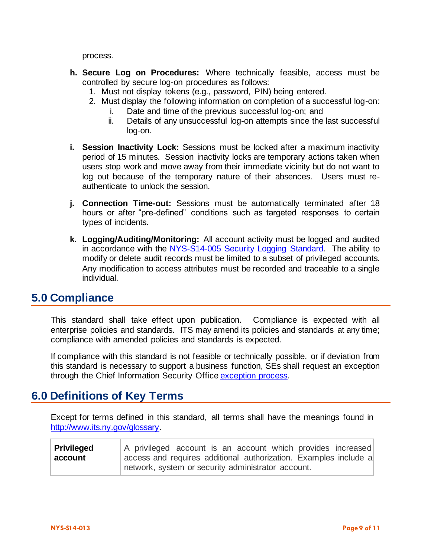process.

- **h. Secure Log on Procedures:** Where technically feasible, access must be controlled by secure log-on procedures as follows:
	- 1. Must not display tokens (e.g., password, PIN) being entered.
	- 2. Must display the following information on completion of a successful log-on:
		- i. Date and time of the previous successful log-on; and
		- ii. Details of any unsuccessful log-on attempts since the last successful log-on.
- **i. Session Inactivity Lock:** Sessions must be locked after a maximum inactivity period of 15 minutes. Session inactivity locks are temporary actions taken when users stop work and move away from their immediate vicinity but do not want to log out because of the temporary nature of their absences. Users must reauthenticate to unlock the session.
- **j. Connection Time-out:** Sessions must be automatically terminated after 18 hours or after "pre-defined" conditions such as targeted responses to certain types of incidents.
- **k. Logging/Auditing/Monitoring:** All account activity must be logged and audited in accordance with the [NYS-S14-005 Security Logging Standard.](https://its.ny.gov/document/security-logging) The ability to modify or delete audit records must be limited to a subset of privileged accounts. Any modification to access attributes must be recorded and traceable to a single individual.

## **5.0 Compliance**

This standard shall take effect upon publication. Compliance is expected with all enterprise policies and standards. ITS may amend its policies and standards at any time; compliance with amended policies and standards is expected.

If compliance with this standard is not feasible or technically possible, or if deviation from this standard is necessary to support a business function, SEs shall request an exception through the Chief Information Security Offic[e exception process.](http://www.its.ny.gov/document/information-security-exception-policy)

## **6.0 Definitions of Key Terms**

Except for terms defined in this standard, all terms shall have the meanings found in [http://www.its.ny.gov/glossary.](http://www.its.ny.gov/glossary)

| <b>Privileged</b> | A privileged account is an account which provides increased      |  |  |  |  |
|-------------------|------------------------------------------------------------------|--|--|--|--|
| account           | access and requires additional authorization. Examples include a |  |  |  |  |
|                   | network, system or security administrator account.               |  |  |  |  |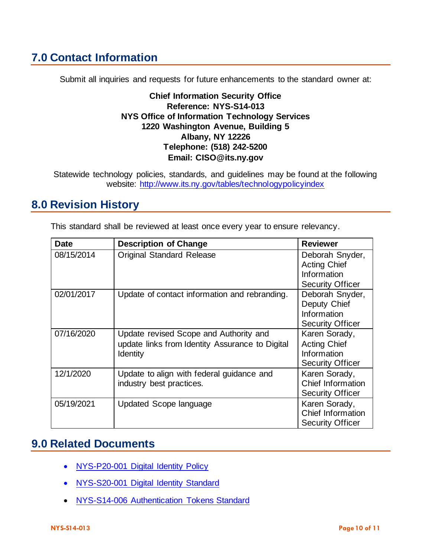# **7.0 Contact Information**

Submit all inquiries and requests for future enhancements to the standard owner at:

**Chief Information Security Office Reference: NYS-S14-013 NYS Office of Information Technology Services 1220 Washington Avenue, Building 5 Albany, NY 12226 Telephone: (518) 242-5200 Email: CISO@its.ny.gov**

Statewide technology policies, standards, and guidelines may be found at the following website: <http://www.its.ny.gov/tables/technologypolicyindex>

## **8.0 Revision History**

| <b>Date</b> | <b>Description of Change</b>                                                                          | <b>Reviewer</b>                                                                  |
|-------------|-------------------------------------------------------------------------------------------------------|----------------------------------------------------------------------------------|
| 08/15/2014  | <b>Original Standard Release</b>                                                                      | Deborah Snyder,<br><b>Acting Chief</b><br>Information<br><b>Security Officer</b> |
| 02/01/2017  | Update of contact information and rebranding.                                                         | Deborah Snyder,<br>Deputy Chief<br>Information<br><b>Security Officer</b>        |
| 07/16/2020  | Update revised Scope and Authority and<br>update links from Identity Assurance to Digital<br>Identity | Karen Sorady,<br><b>Acting Chief</b><br>Information<br><b>Security Officer</b>   |
| 12/1/2020   | Update to align with federal guidance and<br>industry best practices.                                 | Karen Sorady,<br><b>Chief Information</b><br><b>Security Officer</b>             |
| 05/19/2021  | Updated Scope language                                                                                | Karen Sorady,<br>Chief Information<br><b>Security Officer</b>                    |

This standard shall be reviewed at least once every year to ensure relevancy.

## **9.0 Related Documents**

- NYS-P20-001 [Digital Identity](https://its.ny.gov/document/digital-identity-policy) Policy
- NYS-S20-001 [Digital Identity](https://its.ny.gov/document/digital-identity-standard) Standard
- NYS-S14-006 [Authentication Tokens Standard](https://its.ny.gov/document/authentication-tokens-standard)